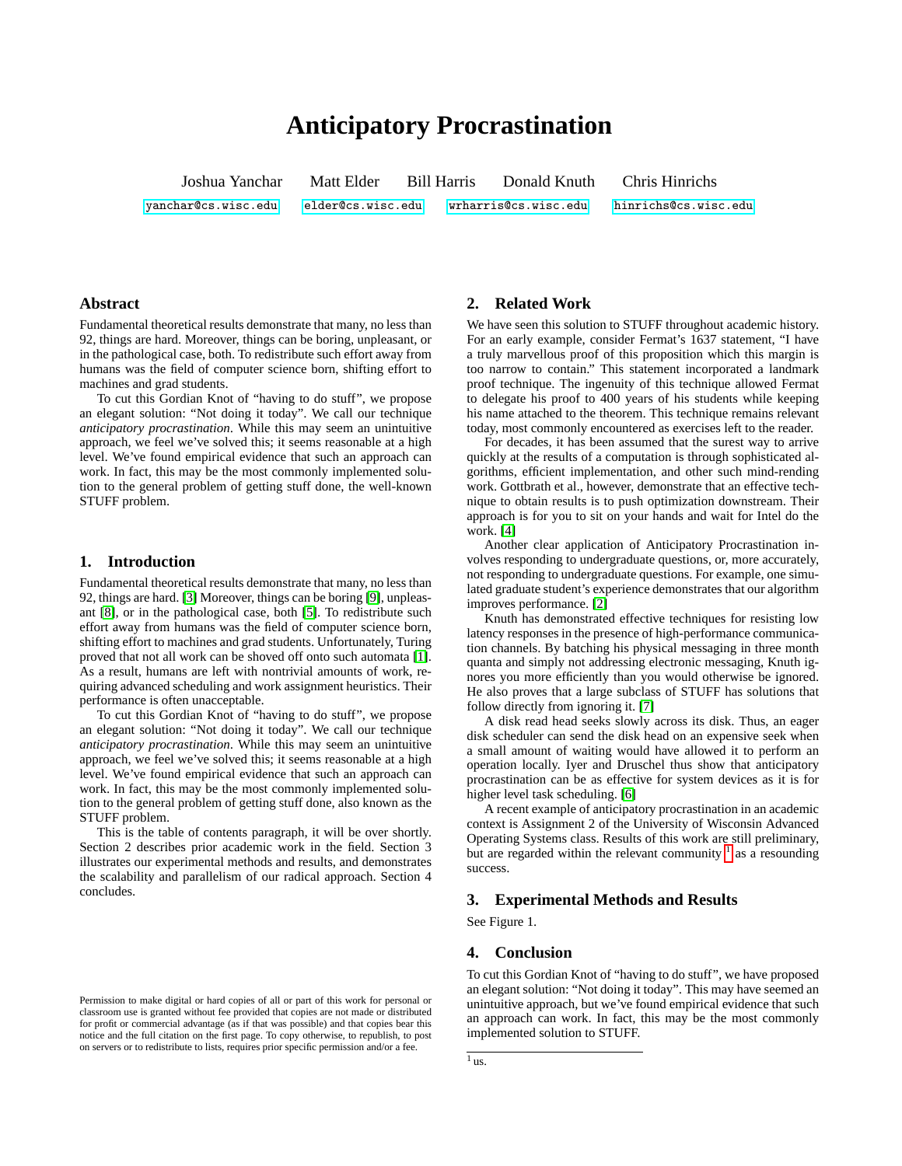# **Anticipatory Procrastination**

Joshua Yanchar Matt Elder Bill Harris Donald Knuth Chris Hinrichs [yanchar@cs.wisc.edu](mailto:yanchar@cs.wisc.edu) [elder@cs.wisc.edu](mailto:elder@cs.wisc.edu) [wrharris@cs.wisc.edu](mailto:wrharris@cs.wisc.edu) [hinrichs@cs.wisc.edu](mailto:hinrichs@cs.wisc.edu)

## **Abstract**

Fundamental theoretical results demonstrate that many, no less than 92, things are hard. Moreover, things can be boring, unpleasant, or in the pathological case, both. To redistribute such effort away from humans was the field of computer science born, shifting effort to machines and grad students.

To cut this Gordian Knot of "having to do stuff", we propose an elegant solution: "Not doing it today". We call our technique *anticipatory procrastination*. While this may seem an unintuitive approach, we feel we've solved this; it seems reasonable at a high level. We've found empirical evidence that such an approach can work. In fact, this may be the most commonly implemented solution to the general problem of getting stuff done, the well-known STUFF problem.

## **1. Introduction**

Fundamental theoretical results demonstrate that many, no less than 92, things are hard. [\[3\]](#page-1-0) Moreover, things can be boring [\[9\]](#page-1-1), unpleasant [\[8\]](#page-1-2), or in the pathological case, both [\[5\]](#page-1-3). To redistribute such effort away from humans was the field of computer science born, shifting effort to machines and grad students. Unfortunately, Turing proved that not all work can be shoved off onto such automata [\[1\]](#page-1-4). As a result, humans are left with nontrivial amounts of work, requiring advanced scheduling and work assignment heuristics. Their performance is often unacceptable.

To cut this Gordian Knot of "having to do stuff", we propose an elegant solution: "Not doing it today". We call our technique *anticipatory procrastination*. While this may seem an unintuitive approach, we feel we've solved this; it seems reasonable at a high level. We've found empirical evidence that such an approach can work. In fact, this may be the most commonly implemented solution to the general problem of getting stuff done, also known as the STUFF problem.

This is the table of contents paragraph, it will be over shortly. Section 2 describes prior academic work in the field. Section 3 illustrates our experimental methods and results, and demonstrates the scalability and parallelism of our radical approach. Section 4 concludes.

## **2. Related Work**

We have seen this solution to STUFF throughout academic history. For an early example, consider Fermat's 1637 statement, "I have a truly marvellous proof of this proposition which this margin is too narrow to contain." This statement incorporated a landmark proof technique. The ingenuity of this technique allowed Fermat to delegate his proof to 400 years of his students while keeping his name attached to the theorem. This technique remains relevant today, most commonly encountered as exercises left to the reader.

For decades, it has been assumed that the surest way to arrive quickly at the results of a computation is through sophisticated algorithms, efficient implementation, and other such mind-rending work. Gottbrath et al., however, demonstrate that an effective technique to obtain results is to push optimization downstream. Their approach is for you to sit on your hands and wait for Intel do the work. [\[4\]](#page-1-5)

Another clear application of Anticipatory Procrastination involves responding to undergraduate questions, or, more accurately, not responding to undergraduate questions. For example, one simulated graduate student's experience demonstrates that our algorithm improves performance. [\[2\]](#page-1-6)

Knuth has demonstrated effective techniques for resisting low latency responses in the presence of high-performance communication channels. By batching his physical messaging in three month quanta and simply not addressing electronic messaging, Knuth ignores you more efficiently than you would otherwise be ignored. He also proves that a large subclass of STUFF has solutions that follow directly from ignoring it. [\[7\]](#page-1-7)

A disk read head seeks slowly across its disk. Thus, an eager disk scheduler can send the disk head on an expensive seek when a small amount of waiting would have allowed it to perform an operation locally. Iyer and Druschel thus show that anticipatory procrastination can be as effective for system devices as it is for higher level task scheduling. [\[6\]](#page-1-8)

A recent example of anticipatory procrastination in an academic context is Assignment 2 of the University of Wisconsin Advanced Operating Systems class. Results of this work are still preliminary, but are regarded within the relevant community  $\frac{1}{1}$  $\frac{1}{1}$  $\frac{1}{1}$  as a resounding success.

### **3. Experimental Methods and Results**

See Figure 1.

### **4. Conclusion**

To cut this Gordian Knot of "having to do stuff", we have proposed an elegant solution: "Not doing it today". This may have seemed an unintuitive approach, but we've found empirical evidence that such an approach can work. In fact, this may be the most commonly implemented solution to STUFF.

Permission to make digital or hard copies of all or part of this work for personal or classroom use is granted without fee provided that copies are not made or distributed for profit or commercial advantage (as if that was possible) and that copies bear this notice and the full citation on the first page. To copy otherwise, to republish, to post on servers or to redistribute to lists, requires prior specific permission and/or a fee.

<span id="page-0-0"></span> $1$  us.